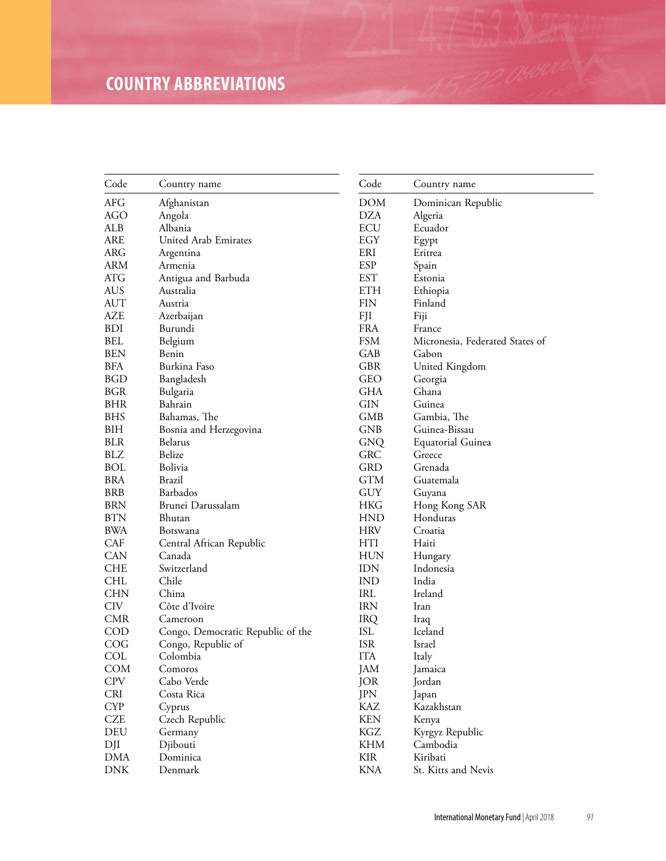## **COUNTRY ABBREVIATIONS**

| Code       | Country name                      | Code       | Country name                    |
|------------|-----------------------------------|------------|---------------------------------|
| <b>AFG</b> | Afghanistan                       | <b>DOM</b> | Dominican Republic              |
| <b>AGO</b> | Angola                            | <b>DZA</b> | Algeria                         |
| ALB        | Albania                           | ECU        | Ecuador                         |
| ARE        | United Arab Emirates              | EGY        | Egypt                           |
| <b>ARG</b> | Argentina                         | ERI        | Eritrea                         |
| <b>ARM</b> | Armenia                           | <b>ESP</b> | Spain                           |
| <b>ATG</b> | Antigua and Barbuda               | <b>EST</b> | Estonia                         |
| <b>AUS</b> | Australia                         | <b>ETH</b> | Ethiopia                        |
| <b>AUT</b> | Austria                           | <b>FIN</b> | Finland                         |
| <b>AZE</b> | Azerbaijan                        | FJI        | Fiji                            |
| <b>BDI</b> | Burundi                           | <b>FRA</b> | France                          |
| <b>BEL</b> | Belgium                           | <b>FSM</b> | Micronesia, Federated States of |
| <b>BEN</b> | Benin                             | GAB        | Gabon                           |
| <b>BFA</b> | Burkina Faso                      | <b>GBR</b> | United Kingdom                  |
| BGD        | Bangladesh                        | <b>GEO</b> | Georgia                         |
| <b>BGR</b> | Bulgaria                          | <b>GHA</b> | Ghana                           |
| <b>BHR</b> | Bahrain                           | <b>GIN</b> | Guinea                          |
| <b>BHS</b> | Bahamas, The                      | GMB        | Gambia, The                     |
| BIH        | Bosnia and Herzegovina            | <b>GNB</b> | Guinea-Bissau                   |
| <b>BLR</b> | Belarus                           | <b>GNQ</b> | Equatorial Guinea               |
| <b>BLZ</b> | Belize                            | GRC        | Greece                          |
| <b>BOL</b> | Bolivia                           | <b>GRD</b> | Grenada                         |
| <b>BRA</b> | <b>Brazil</b>                     | <b>GTM</b> | Guatemala                       |
| <b>BRB</b> | Barbados                          | <b>GUY</b> | Guyana                          |
| <b>BRN</b> | Brunei Darussalam                 | <b>HKG</b> | Hong Kong SAR                   |
| <b>BTN</b> | Bhutan                            | <b>HND</b> | Honduras                        |
| <b>BWA</b> | Botswana                          | <b>HRV</b> | Croatia                         |
| CAF        | Central African Republic          | <b>HTI</b> | Haiti                           |
| <b>CAN</b> | Canada                            | <b>HUN</b> | Hungary                         |
| <b>CHE</b> | Switzerland                       | <b>IDN</b> | Indonesia                       |
| <b>CHL</b> | Chile                             | <b>IND</b> | India                           |
| <b>CHN</b> | China                             | IRL        | Ireland                         |
| <b>CIV</b> | Côte d'Ivoire                     | <b>IRN</b> | Iran                            |
| <b>CMR</b> | Cameroon                          | IRQ        | Iraq                            |
| COD        | Congo, Democratic Republic of the | <b>ISL</b> | Iceland                         |
| COG        | Congo, Republic of                | <b>ISR</b> | Israel                          |
| <b>COL</b> | Colombia                          | <b>ITA</b> | Italy                           |
| <b>COM</b> | Comoros                           | JAM        | Jamaica                         |
| <b>CPV</b> | Cabo Verde                        | <b>JOR</b> | Jordan                          |
| <b>CRI</b> | Costa Rica                        | <b>JPN</b> | Japan                           |
| <b>CYP</b> | Cyprus                            | <b>KAZ</b> | Kazakhstan                      |
| <b>CZE</b> | Czech Republic                    | <b>KEN</b> | Kenya                           |
| DEU        | Germany                           | KGZ        | Kyrgyz Republic                 |
| DJI        | Djibouti                          | <b>KHM</b> | Cambodia                        |
| <b>DMA</b> | Dominica                          | <b>KIR</b> | Kiribati                        |
| <b>DNK</b> | Denmark                           | <b>KNA</b> | St. Kitts and Nevis             |